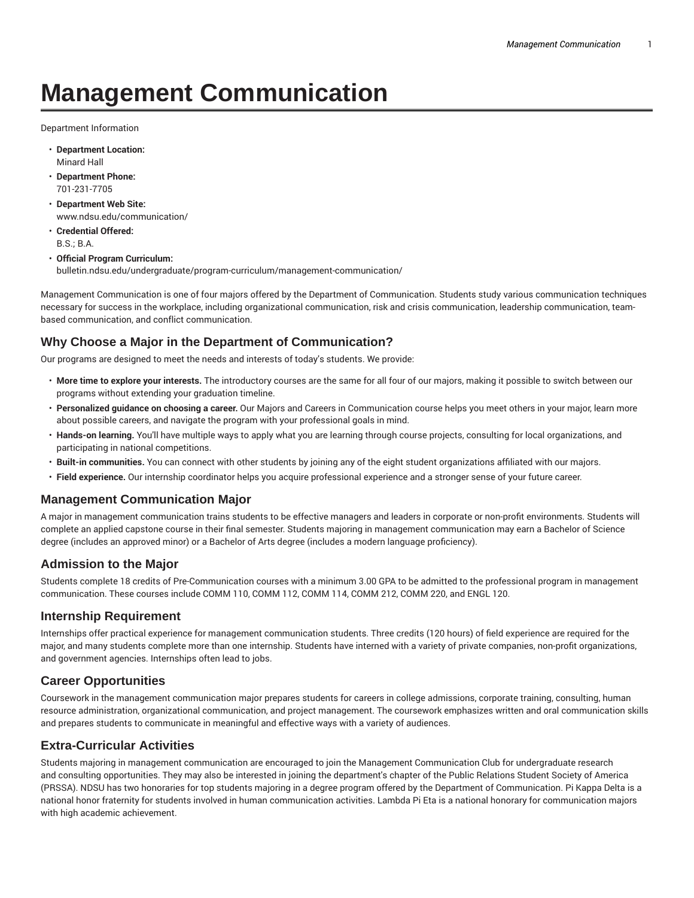# **Management Communication**

Department Information

- **Department Location:** Minard Hall
- **Department Phone:** 701-231-7705
- **Department Web Site:** www.ndsu.edu/communication/
- **Credential Offered:** B.S.; B.A.
- **Official Program Curriculum:** bulletin.ndsu.edu/undergraduate/program-curriculum/management-communication/

Management Communication is one of four majors offered by the Department of Communication. Students study various communication techniques necessary for success in the workplace, including organizational communication, risk and crisis communication, leadership communication, teambased communication, and conflict communication.

### **Why Choose a Major in the Department of Communication?**

Our programs are designed to meet the needs and interests of today's students. We provide:

- **More time to explore your interests.** The introductory courses are the same for all four of our majors, making it possible to switch between our programs without extending your graduation timeline.
- **Personalized guidance on choosing a career.** Our Majors and Careers in Communication course helps you meet others in your major, learn more about possible careers, and navigate the program with your professional goals in mind.
- **Hands-on learning.** You'll have multiple ways to apply what you are learning through course projects, consulting for local organizations, and participating in national competitions.
- **Built-in communities.** You can connect with other students by joining any of the eight student organizations affiliated with our majors.
- **Field experience.** Our internship coordinator helps you acquire professional experience and a stronger sense of your future career.

#### **Management Communication Major**

A major in management communication trains students to be effective managers and leaders in corporate or non-profit environments. Students will complete an applied capstone course in their final semester. Students majoring in management communication may earn a Bachelor of Science degree (includes an approved minor) or a Bachelor of Arts degree (includes a modern language proficiency).

#### **Admission to the Major**

Students complete 18 credits of Pre-Communication courses with a minimum 3.00 GPA to be admitted to the professional program in management communication. These courses include COMM 110, COMM 112, COMM 114, COMM 212, COMM 220, and ENGL 120.

#### **Internship Requirement**

Internships offer practical experience for management communication students. Three credits (120 hours) of field experience are required for the major, and many students complete more than one internship. Students have interned with a variety of private companies, non-profit organizations, and government agencies. Internships often lead to jobs.

#### **Career Opportunities**

Coursework in the management communication major prepares students for careers in college admissions, corporate training, consulting, human resource administration, organizational communication, and project management. The coursework emphasizes written and oral communication skills and prepares students to communicate in meaningful and effective ways with a variety of audiences.

#### **Extra-Curricular Activities**

Students majoring in management communication are encouraged to join the Management Communication Club for undergraduate research and consulting opportunities. They may also be interested in joining the department's chapter of the Public Relations Student Society of America (PRSSA). NDSU has two honoraries for top students majoring in a degree program offered by the Department of Communication. Pi Kappa Delta is a national honor fraternity for students involved in human communication activities. Lambda Pi Eta is a national honorary for communication majors with high academic achievement.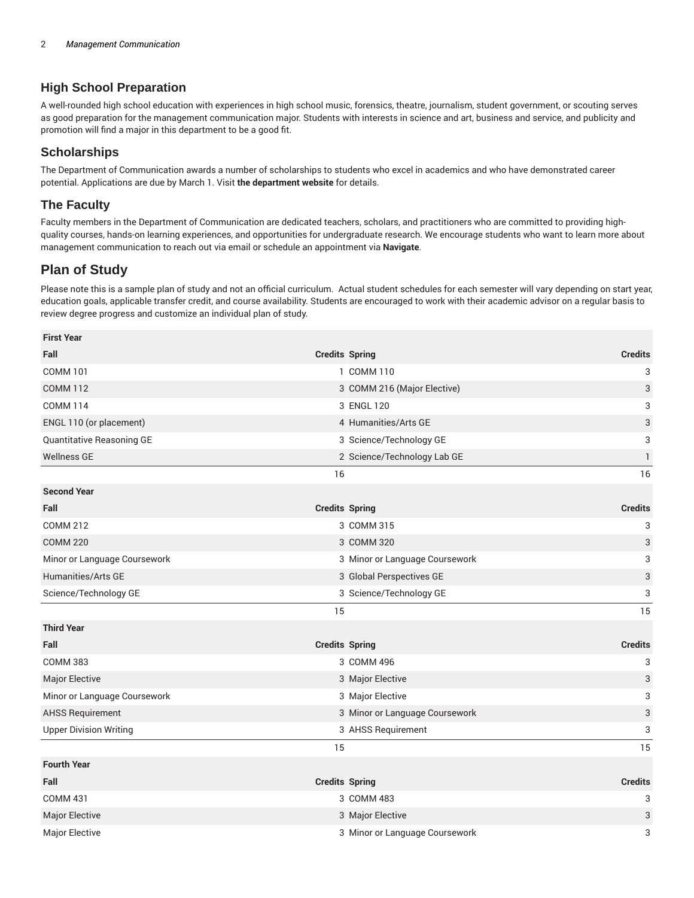### **High School Preparation**

A well-rounded high school education with experiences in high school music, forensics, theatre, journalism, student government, or scouting serves as good preparation for the management communication major. Students with interests in science and art, business and service, and publicity and promotion will find a major in this department to be a good fit.

#### **Scholarships**

The Department of Communication awards a number of scholarships to students who excel in academics and who have demonstrated career potential. Applications are due by March 1. Visit **the department website** for details.

#### **The Faculty**

Faculty members in the Department of Communication are dedicated teachers, scholars, and practitioners who are committed to providing highquality courses, hands-on learning experiences, and opportunities for undergraduate research. We encourage students who want to learn more about management communication to reach out via email or schedule an appointment via **Navigate**.

## **Plan of Study**

**First Year**

Please note this is a sample plan of study and not an official curriculum. Actual student schedules for each semester will vary depending on start year, education goals, applicable transfer credit, and course availability. Students are encouraged to work with their academic advisor on a regular basis to review degree progress and customize an individual plan of study.

| First Year                                                                                 |                       |                                                                                              |                |
|--------------------------------------------------------------------------------------------|-----------------------|----------------------------------------------------------------------------------------------|----------------|
| Fall                                                                                       | <b>Credits Spring</b> |                                                                                              | <b>Credits</b> |
| <b>COMM 101</b>                                                                            |                       | 1 COMM 110                                                                                   | 3              |
| <b>COMM 112</b><br><b>COMM 114</b><br>ENGL 110 (or placement)<br>Quantitative Reasoning GE |                       | 3 COMM 216 (Major Elective)<br>3 ENGL 120<br>4 Humanities/Arts GE<br>3 Science/Technology GE | 3              |
|                                                                                            |                       |                                                                                              | 3              |
|                                                                                            |                       |                                                                                              | 3              |
|                                                                                            |                       |                                                                                              | 3              |
| <b>Wellness GE</b>                                                                         |                       | 2 Science/Technology Lab GE                                                                  | $\mathbf{1}$   |
|                                                                                            | 16                    |                                                                                              | 16             |
| <b>Second Year</b>                                                                         |                       |                                                                                              |                |
| Fall                                                                                       | <b>Credits Spring</b> |                                                                                              | <b>Credits</b> |
| <b>COMM 212</b>                                                                            |                       | 3 COMM 315                                                                                   | 3              |
| <b>COMM 220</b>                                                                            |                       | 3 COMM 320                                                                                   | 3              |
| Minor or Language Coursework                                                               |                       | 3 Minor or Language Coursework                                                               | 3              |
| Humanities/Arts GE                                                                         |                       | 3 Global Perspectives GE                                                                     | 3              |
| Science/Technology GE                                                                      |                       | 3 Science/Technology GE                                                                      | 3              |
|                                                                                            | 15                    |                                                                                              | 15             |
| <b>Third Year</b>                                                                          |                       |                                                                                              |                |
| Fall                                                                                       |                       | <b>Credits Spring</b>                                                                        | <b>Credits</b> |
| <b>COMM 383</b>                                                                            |                       | 3 COMM 496                                                                                   | 3              |
| <b>Major Elective</b>                                                                      |                       | 3 Major Elective                                                                             | 3              |
| Minor or Language Coursework                                                               |                       | 3 Major Elective                                                                             | 3              |
| <b>AHSS Requirement</b>                                                                    |                       | 3 Minor or Language Coursework                                                               | 3              |
| <b>Upper Division Writing</b>                                                              |                       | 3 AHSS Requirement                                                                           | 3              |
|                                                                                            | 15                    |                                                                                              | 15             |
| <b>Fourth Year</b>                                                                         |                       |                                                                                              |                |
| Fall                                                                                       |                       | <b>Credits Spring</b>                                                                        | <b>Credits</b> |
| <b>COMM 431</b>                                                                            |                       | 3 COMM 483                                                                                   | 3              |
| Major Elective                                                                             |                       | 3 Major Elective                                                                             | 3              |
| Major Elective                                                                             |                       | 3 Minor or Language Coursework                                                               | 3              |